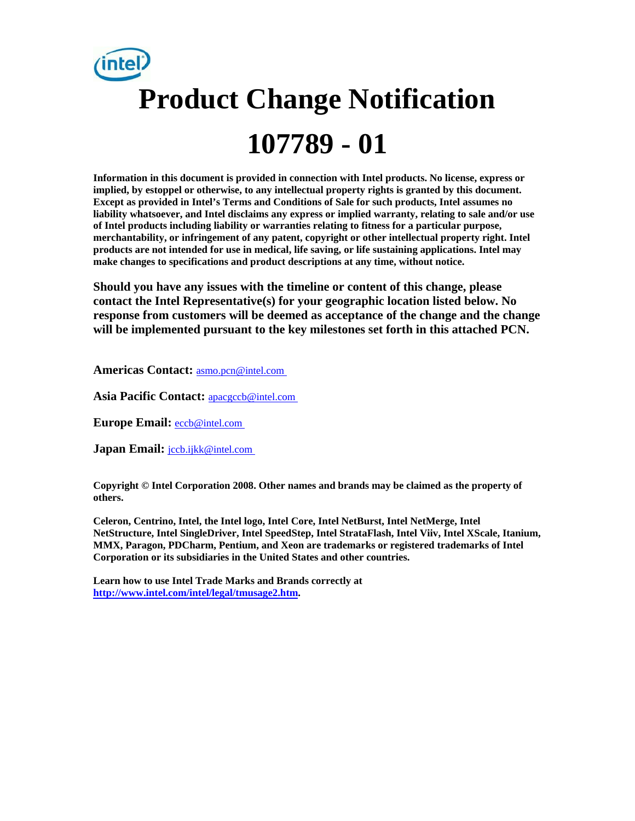# **Product Change Notification 107789 - 01**

**Information in this document is provided in connection with Intel products. No license, express or implied, by estoppel or otherwise, to any intellectual property rights is granted by this document. Except as provided in Intel's Terms and Conditions of Sale for such products, Intel assumes no liability whatsoever, and Intel disclaims any express or implied warranty, relating to sale and/or use of Intel products including liability or warranties relating to fitness for a particular purpose, merchantability, or infringement of any patent, copyright or other intellectual property right. Intel products are not intended for use in medical, life saving, or life sustaining applications. Intel may make changes to specifications and product descriptions at any time, without notice.** 

**Should you have any issues with the timeline or content of this change, please contact the Intel Representative(s) for your geographic location listed below. No response from customers will be deemed as acceptance of the change and the change will be implemented pursuant to the key milestones set forth in this attached PCN.** 

**Americas Contact:** [asmo.pcn@intel.com](mailto:asmo.pcn@intel.com) 

**Asia Pacific Contact:** [apacgccb@intel.com](mailto:apacgccb@intel.com) 

**Europe Email:** [eccb@intel.com](mailto:eccb@intel.com) 

Japan Email: **jccb.ijkk@intel.com** 

**Copyright © Intel Corporation 2008. Other names and brands may be claimed as the property of others.**

**Celeron, Centrino, Intel, the Intel logo, Intel Core, Intel NetBurst, Intel NetMerge, Intel NetStructure, Intel SingleDriver, Intel SpeedStep, Intel StrataFlash, Intel Viiv, Intel XScale, Itanium, MMX, Paragon, PDCharm, Pentium, and Xeon are trademarks or registered trademarks of Intel Corporation or its subsidiaries in the United States and other countries.** 

**Learn how to use Intel Trade Marks and Brands correctly at [http://www.intel.com/intel/legal/tmusage2.htm.](http://www.intel.com/intel/legal/tmusage2.htm)**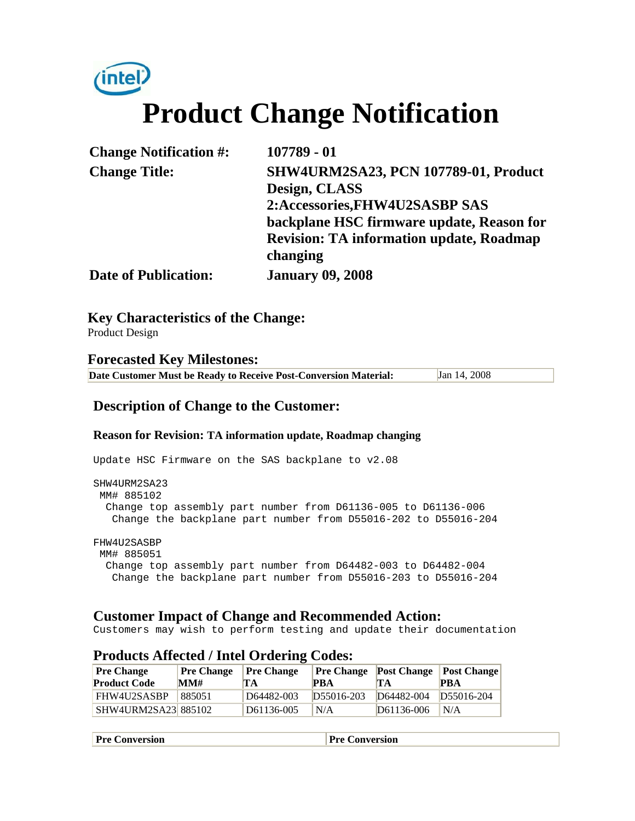

| <b>Change Notification #:</b> | 107789 - 01                                                  |
|-------------------------------|--------------------------------------------------------------|
| <b>Change Title:</b>          | <b>SHW4URM2SA23, PCN 107789-01, Product</b><br>Design, CLASS |
|                               | 2:Accessories, FHW4U2SASBP SAS                               |
|                               | backplane HSC firmware update, Reason for                    |
|                               | <b>Revision: TA information update, Roadmap</b><br>changing  |
| <b>Date of Publication:</b>   | <b>January 09, 2008</b>                                      |

**Key Characteristics of the Change:**

Product Design

**Forecasted Key Milestones: Date Customer Must be Ready to Receive Post-Conversion Material:** Jan 14, 2008

#### **Description of Change to the Customer:**

#### **Reason for Revision: TA information update, Roadmap changing**

Update HSC Firmware on the SAS backplane to v2.08 SHW4URM2SA23 MM# 885102 Change top assembly part number from D61136-005 to D61136-006 Change the backplane part number from D55016-202 to D55016-204 FHW4U2SASBP MM# 885051

 Change top assembly part number from D64482-003 to D64482-004 Change the backplane part number from D55016-203 to D55016-204

#### **Customer Impact of Change and Recommended Action:**

Customers may wish to perform testing and update their documentation

| Trouters infected; mich ordering coups. |                   |                   |            |                                           |            |
|-----------------------------------------|-------------------|-------------------|------------|-------------------------------------------|------------|
| <b>Pre Change</b>                       | <b>Pre Change</b> | <b>Pre Change</b> |            | <b>Pre Change</b> Post Change Post Change |            |
| <b>Product Code</b>                     | MM#               | 'ТА               | <b>PRA</b> | TА                                        | <b>PBA</b> |
| FHW4U2SASBP                             | 885051            | D64482-003        | D55016-203 | D64482-004                                | D55016-204 |
| SHW4URM2SA23 885102                     |                   | D61136-005        | N/A        | D61136-006                                | N/A        |

#### **Products Affected / Intel Ordering Codes:**

| $\mathbf{p}_\mathbf{r}$ | ıversion |
|-------------------------|----------|
| Conversion              | w        |
|                         |          |